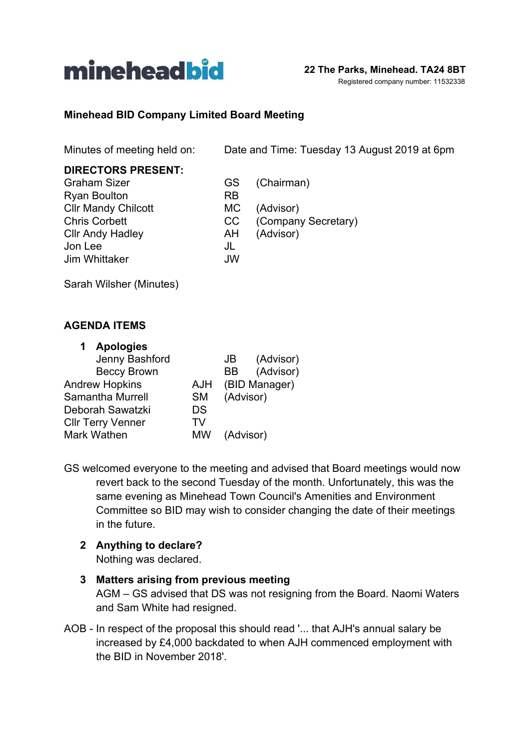

#### Registered company number: 11532338

### **Minehead BID Company Limited Board Meeting**

Minutes of meeting held on: Date and Time: Tuesday 13 August 2019 at 6pm

| <b>DIRECTORS PRESENT:</b>  |           |                     |
|----------------------------|-----------|---------------------|
| <b>Graham Sizer</b>        | GS.       | (Chairman)          |
| <b>Ryan Boulton</b>        | <b>RB</b> |                     |
| <b>Cllr Mandy Chilcott</b> | MC.       | (Advisor)           |
| <b>Chris Corbett</b>       | CC        | (Company Secretary) |
| <b>Cllr Andy Hadley</b>    | AH        | (Advisor)           |
| Jon Lee                    | JL        |                     |
| Jim Whittaker              | <b>JW</b> |                     |
|                            |           |                     |

Sarah Wilsher (Minutes)

#### **AGENDA ITEMS**

| (Advisor)<br>JB  |
|------------------|
| (Advisor)<br>BB. |
| (BID Manager)    |
| (Advisor)        |
|                  |
|                  |
| (Advisor)        |
|                  |

GS welcomed everyone to the meeting and advised that Board meetings would now revert back to the second Tuesday of the month. Unfortunately, this was the same evening as Minehead Town Council's Amenities and Environment Committee so BID may wish to consider changing the date of their meetings in the future.

**2 Anything to declare?** Nothing was declared.

# **3 Matters arising from previous meeting**

AGM – GS advised that DS was not resigning from the Board. Naomi Waters and Sam White had resigned.

AOB - In respect of the proposal this should read '... that AJH's annual salary be increased by £4,000 backdated to when AJH commenced employment with the BID in November 2018'.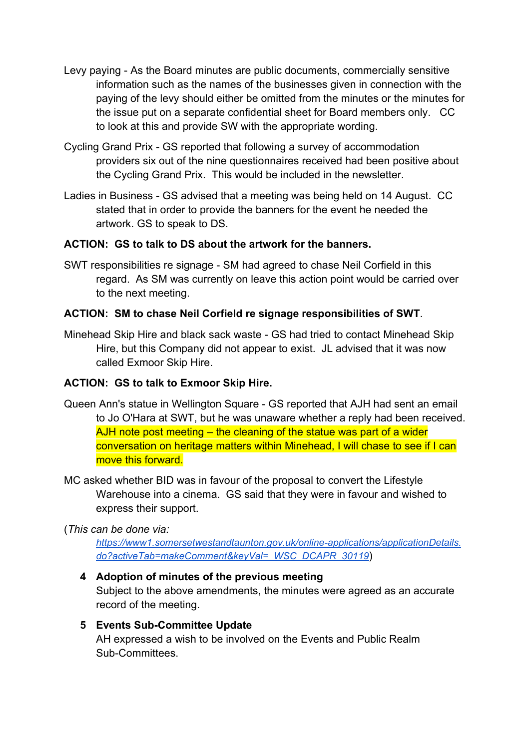- Levy paying As the Board minutes are public documents, commercially sensitive information such as the names of the businesses given in connection with the paying of the levy should either be omitted from the minutes or the minutes for the issue put on a separate confidential sheet for Board members only. CC to look at this and provide SW with the appropriate wording.
- Cycling Grand Prix GS reported that following a survey of accommodation providers six out of the nine questionnaires received had been positive about the Cycling Grand Prix. This would be included in the newsletter.
- Ladies in Business GS advised that a meeting was being held on 14 August. CC stated that in order to provide the banners for the event he needed the artwork. GS to speak to DS.

# **ACTION: GS to talk to DS about the artwork for the banners.**

SWT responsibilities re signage - SM had agreed to chase Neil Corfield in this regard. As SM was currently on leave this action point would be carried over to the next meeting.

#### **ACTION: SM to chase Neil Corfield re signage responsibilities of SWT**.

Minehead Skip Hire and black sack waste - GS had tried to contact Minehead Skip Hire, but this Company did not appear to exist. JL advised that it was now called Exmoor Skip Hire.

#### **ACTION: GS to talk to Exmoor Skip Hire.**

- Queen Ann's statue in Wellington Square GS reported that AJH had sent an email to Jo O'Hara at SWT, but he was unaware whether a reply had been received. AJH note post meeting – the cleaning of the statue was part of a wider conversation on heritage matters within Minehead, I will chase to see if I can move this forward.
- MC asked whether BID was in favour of the proposal to convert the Lifestyle Warehouse into a cinema. GS said that they were in favour and wished to express their support.

#### (*This can be done via:*

*[https://www1.somersetwestandtaunton.gov.uk/online-applications/applicationDetails.](https://www1.somersetwestandtaunton.gov.uk/online-applications/applicationDetails.do?activeTab=makeComment&keyVal=_WSC_DCAPR_30119) [do?activeTab=makeComment&keyVal=\\_WSC\\_DCAPR\\_30119](https://www1.somersetwestandtaunton.gov.uk/online-applications/applicationDetails.do?activeTab=makeComment&keyVal=_WSC_DCAPR_30119)*)

#### **4 Adoption of minutes of the previous meeting**

Subject to the above amendments, the minutes were agreed as an accurate record of the meeting.

#### **5 Events Sub-Committee Update**

AH expressed a wish to be involved on the Events and Public Realm Sub-Committees.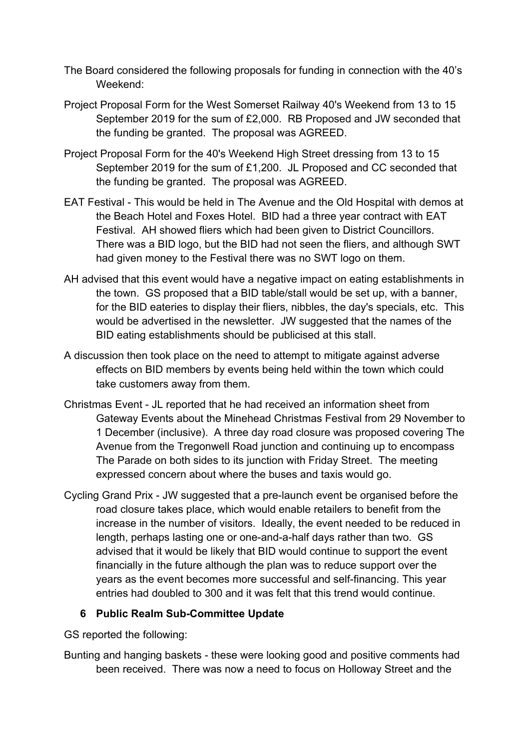- The Board considered the following proposals for funding in connection with the 40's Weekend:
- Project Proposal Form for the West Somerset Railway 40's Weekend from 13 to 15 September 2019 for the sum of £2,000. RB Proposed and JW seconded that the funding be granted. The proposal was AGREED.
- Project Proposal Form for the 40's Weekend High Street dressing from 13 to 15 September 2019 for the sum of £1,200. JL Proposed and CC seconded that the funding be granted. The proposal was AGREED.
- EAT Festival This would be held in The Avenue and the Old Hospital with demos at the Beach Hotel and Foxes Hotel. BID had a three year contract with EAT Festival. AH showed fliers which had been given to District Councillors. There was a BID logo, but the BID had not seen the fliers, and although SWT had given money to the Festival there was no SWT logo on them.
- AH advised that this event would have a negative impact on eating establishments in the town. GS proposed that a BID table/stall would be set up, with a banner, for the BID eateries to display their fliers, nibbles, the day's specials, etc. This would be advertised in the newsletter. JW suggested that the names of the BID eating establishments should be publicised at this stall.
- A discussion then took place on the need to attempt to mitigate against adverse effects on BID members by events being held within the town which could take customers away from them.
- Christmas Event JL reported that he had received an information sheet from Gateway Events about the Minehead Christmas Festival from 29 November to 1 December (inclusive). A three day road closure was proposed covering The Avenue from the Tregonwell Road junction and continuing up to encompass The Parade on both sides to its junction with Friday Street. The meeting expressed concern about where the buses and taxis would go.
- Cycling Grand Prix JW suggested that a pre-launch event be organised before the road closure takes place, which would enable retailers to benefit from the increase in the number of visitors. Ideally, the event needed to be reduced in length, perhaps lasting one or one-and-a-half days rather than two. GS advised that it would be likely that BID would continue to support the event financially in the future although the plan was to reduce support over the years as the event becomes more successful and self-financing. This year entries had doubled to 300 and it was felt that this trend would continue.

#### **6 Public Realm Sub-Committee Update**

GS reported the following:

Bunting and hanging baskets - these were looking good and positive comments had been received. There was now a need to focus on Holloway Street and the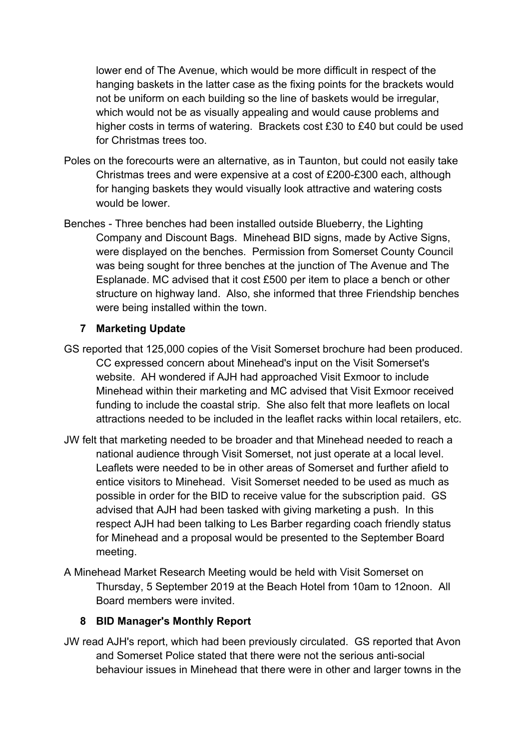lower end of The Avenue, which would be more difficult in respect of the hanging baskets in the latter case as the fixing points for the brackets would not be uniform on each building so the line of baskets would be irregular, which would not be as visually appealing and would cause problems and higher costs in terms of watering. Brackets cost £30 to £40 but could be used for Christmas trees too.

- Poles on the forecourts were an alternative, as in Taunton, but could not easily take Christmas trees and were expensive at a cost of £200-£300 each, although for hanging baskets they would visually look attractive and watering costs would be lower.
- Benches Three benches had been installed outside Blueberry, the Lighting Company and Discount Bags. Minehead BID signs, made by Active Signs, were displayed on the benches. Permission from Somerset County Council was being sought for three benches at the junction of The Avenue and The Esplanade. MC advised that it cost £500 per item to place a bench or other structure on highway land. Also, she informed that three Friendship benches were being installed within the town.

#### **7 Marketing Update**

- GS reported that 125,000 copies of the Visit Somerset brochure had been produced. CC expressed concern about Minehead's input on the Visit Somerset's website. AH wondered if AJH had approached Visit Exmoor to include Minehead within their marketing and MC advised that Visit Exmoor received funding to include the coastal strip. She also felt that more leaflets on local attractions needed to be included in the leaflet racks within local retailers, etc.
- JW felt that marketing needed to be broader and that Minehead needed to reach a national audience through Visit Somerset, not just operate at a local level. Leaflets were needed to be in other areas of Somerset and further afield to entice visitors to Minehead. Visit Somerset needed to be used as much as possible in order for the BID to receive value for the subscription paid. GS advised that AJH had been tasked with giving marketing a push. In this respect AJH had been talking to Les Barber regarding coach friendly status for Minehead and a proposal would be presented to the September Board meeting.
- A Minehead Market Research Meeting would be held with Visit Somerset on Thursday, 5 September 2019 at the Beach Hotel from 10am to 12noon. All Board members were invited.

#### **8 BID Manager's Monthly Report**

JW read AJH's report, which had been previously circulated. GS reported that Avon and Somerset Police stated that there were not the serious anti-social behaviour issues in Minehead that there were in other and larger towns in the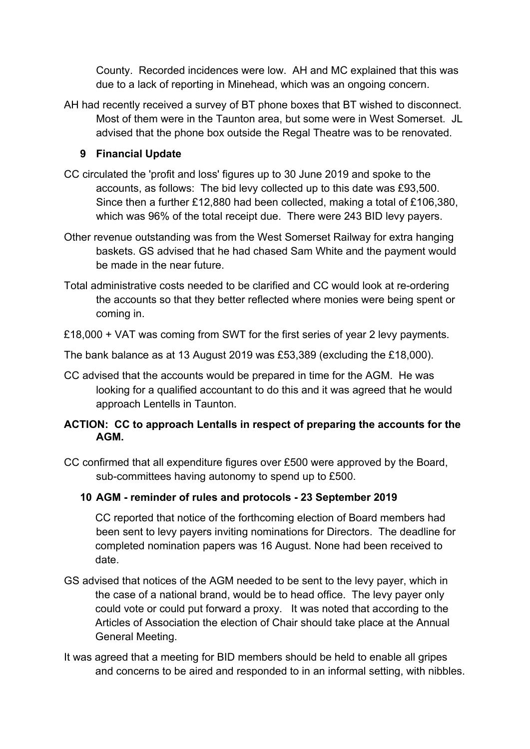County. Recorded incidences were low. AH and MC explained that this was due to a lack of reporting in Minehead, which was an ongoing concern.

AH had recently received a survey of BT phone boxes that BT wished to disconnect. Most of them were in the Taunton area, but some were in West Somerset. JL advised that the phone box outside the Regal Theatre was to be renovated.

# **9 Financial Update**

- CC circulated the 'profit and loss' figures up to 30 June 2019 and spoke to the accounts, as follows: The bid levy collected up to this date was £93,500. Since then a further £12,880 had been collected, making a total of £106,380, which was 96% of the total receipt due. There were 243 BID levy payers.
- Other revenue outstanding was from the West Somerset Railway for extra hanging baskets. GS advised that he had chased Sam White and the payment would be made in the near future.
- Total administrative costs needed to be clarified and CC would look at re-ordering the accounts so that they better reflected where monies were being spent or coming in.

£18,000 + VAT was coming from SWT for the first series of year 2 levy payments.

The bank balance as at 13 August 2019 was £53,389 (excluding the £18,000).

CC advised that the accounts would be prepared in time for the AGM. He was looking for a qualified accountant to do this and it was agreed that he would approach Lentells in Taunton.

# **ACTION: CC to approach Lentalls in respect of preparing the accounts for the AGM.**

CC confirmed that all expenditure figures over £500 were approved by the Board, sub-committees having autonomy to spend up to £500.

# **10 AGM - reminder of rules and protocols - 23 September 2019**

CC reported that notice of the forthcoming election of Board members had been sent to levy payers inviting nominations for Directors. The deadline for completed nomination papers was 16 August. None had been received to date.

- GS advised that notices of the AGM needed to be sent to the levy payer, which in the case of a national brand, would be to head office. The levy payer only could vote or could put forward a proxy. It was noted that according to the Articles of Association the election of Chair should take place at the Annual General Meeting.
- It was agreed that a meeting for BID members should be held to enable all gripes and concerns to be aired and responded to in an informal setting, with nibbles.